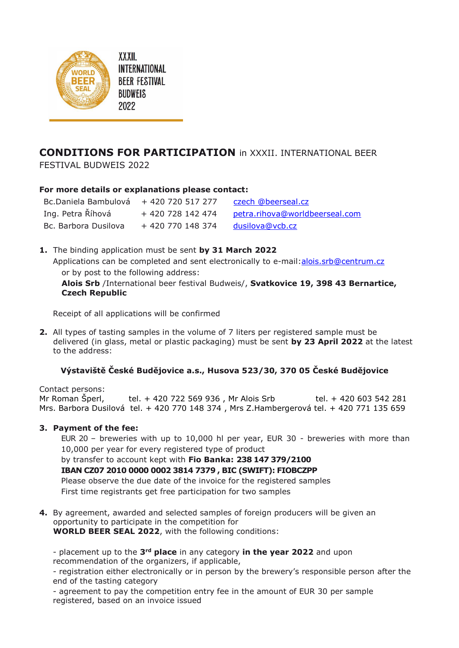

**XXXII INTERNATIONAL BEER FESTIVAL BUDWEIS** 2022

## **CONDITIONS FOR PARTICIPATION** in XXXII. INTERNATIONAL BEER

FESTIVAL BUDWEIS 2022

## **For more details or explanations please contact:**

| Bc.Daniela Bambulová + 420 720 517 277 |                   | czech @beerseal.cz             |
|----------------------------------------|-------------------|--------------------------------|
| Ing. Petra Říhová                      | + 420 728 142 474 | petra.rihova@worldbeerseal.com |
| Bc. Barbora Dusilova                   | + 420 770 148 374 | dusilova@vcb.cz                |

**1.** The binding application must be sent **by 31 March 2022** Applications can be completed and sent electronically to e-mail[:alois.srb@centrum.cz](mailto:alois.srb@centrum.cz) or by post to the following address: **Alois Srb** /International beer festival Budweis/, **Svatkovice 19, 398 43 Bernartice, Czech Republic**

Receipt of all applications will be confirmed

**2.** All types of tasting samples in the volume of 7 liters per registered sample must be delivered (in glass, metal or plastic packaging) must be sent **by 23 April 2022** at the latest to the address:

## **Výstaviště České Budějovice a.s., Husova 523/30, 370 05 České Budějovice**

Contact persons:

Mr Roman Šperl, tel. + 420 722 569 936 , Mr Alois Srb tel. + 420 603 542 281 Mrs. Barbora Dusilová tel. + 420 770 148 374 , Mrs Z.Hambergerová tel. + 420 771 135 659

## **3. Payment of the fee:**

EUR 20 – breweries with up to 10,000 hl per year, EUR 30 - breweries with more than 10,000 per year for every registered type of product

by transfer to account kept with **Fio Banka: 238 147 379/2100 IBAN CZ07 2010 0000 0002 3814 7379 , BIC (SWIFT): FIOBCZPP** Please observe the due date of the invoice for the registered samples First time registrants get free participation for two samples

**4.** By agreement, awarded and selected samples of foreign producers will be given an opportunity to participate in the competition for **WORLD BEER SEAL 2022**, with the following conditions:

- placement up to the **3rd place** in any category **in the year 2022** and upon recommendation of the organizers, if applicable,

- registration either electronically or in person by the brewery's responsible person after the end of the tasting category

- agreement to pay the competition entry fee in the amount of EUR 30 per sample registered, based on an invoice issued